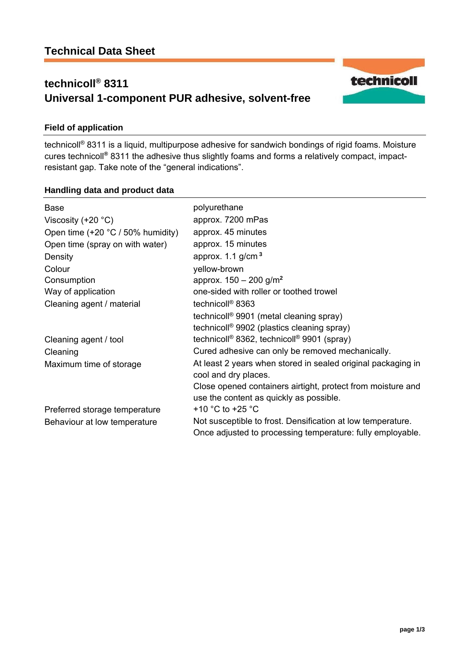# **technicoll® 8311 Universal 1-component PUR adhesive, solvent-free**



technicoll® 8311 is a liquid, multipurpose adhesive for sandwich bondings of rigid foams. Moisture cures technicoll**®** 8311 the adhesive thus slightly foams and forms a relatively compact, impactresistant gap. Take note of the "general indications".

### **Handling data and product data**

| <b>Base</b>                           | polyurethane                                                                                                              |
|---------------------------------------|---------------------------------------------------------------------------------------------------------------------------|
| Viscosity $(+20 °C)$                  | approx. 7200 mPas                                                                                                         |
| Open time $(+20 °C / 50 \%$ humidity) | approx. 45 minutes                                                                                                        |
| Open time (spray on with water)       | approx. 15 minutes                                                                                                        |
| Density                               | approx. $1.1$ g/cm <sup>3</sup>                                                                                           |
| Colour                                | yellow-brown                                                                                                              |
| Consumption                           | approx. $150 - 200$ g/m <sup>2</sup>                                                                                      |
| Way of application                    | one-sided with roller or toothed trowel                                                                                   |
| Cleaning agent / material             | technicoll <sup>®</sup> 8363                                                                                              |
|                                       | technicoll <sup>®</sup> 9901 (metal cleaning spray)                                                                       |
|                                       | technicoll <sup>®</sup> 9902 (plastics cleaning spray)                                                                    |
| Cleaning agent / tool                 | technicoll <sup>®</sup> 8362, technicoll <sup>®</sup> 9901 (spray)                                                        |
| Cleaning                              | Cured adhesive can only be removed mechanically.                                                                          |
| Maximum time of storage               | At least 2 years when stored in sealed original packaging in                                                              |
|                                       | cool and dry places.                                                                                                      |
|                                       | Close opened containers airtight, protect from moisture and                                                               |
|                                       | use the content as quickly as possible.                                                                                   |
| Preferred storage temperature         | +10 $^{\circ}$ C to +25 $^{\circ}$ C                                                                                      |
| Behaviour at low temperature          | Not susceptible to frost. Densification at low temperature.<br>Once adjusted to processing temperature: fully employable. |

**page 1/3** 

technicoll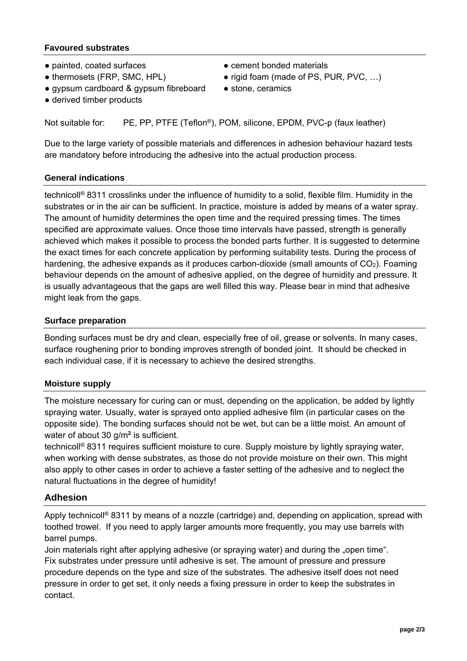## **Favoured substrates**

- painted, coated surfaces cement bonded materials
- thermosets (FRP, SMC, HPL) rigid foam (made of PS, PUR, PVC, ...)
- gypsum cardboard & gypsum fibreboard stone, ceramics
- -
- derived timber products

Not suitable for: PE, PP, PTFE (Teflon®), POM, silicone, EPDM, PVC-p (faux leather)

Due to the large variety of possible materials and differences in adhesion behaviour hazard tests are mandatory before introducing the adhesive into the actual production process.

### **General indications**

technicoll® 8311 crosslinks under the influence of humidity to a solid, flexible film. Humidity in the substrates or in the air can be sufficient. In practice, moisture is added by means of a water spray. The amount of humidity determines the open time and the required pressing times. The times specified are approximate values. Once those time intervals have passed, strength is generally achieved which makes it possible to process the bonded parts further. It is suggested to determine the exact times for each concrete application by performing suitability tests. During the process of hardening, the adhesive expands as it produces carbon-dioxide (small amounts of  $CO<sub>2</sub>$ ). Foaming behaviour depends on the amount of adhesive applied, on the degree of humidity and pressure. It is usually advantageous that the gaps are well filled this way. Please bear in mind that adhesive might leak from the gaps.

### **Surface preparation**

Bonding surfaces must be dry and clean, especially free of oil, grease or solvents. In many cases, surface roughening prior to bonding improves strength of bonded joint. It should be checked in each individual case, if it is necessary to achieve the desired strengths.

### **Moisture supply**

The moisture necessary for curing can or must, depending on the application, be added by lightly spraying water. Usually, water is sprayed onto applied adhesive film (in particular cases on the opposite side). The bonding surfaces should not be wet, but can be a little moist. An amount of water of about 30 g/m**<sup>2</sup>** is sufficient.

technicoll® 8311 requires sufficient moisture to cure. Supply moisture by lightly spraying water, when working with dense substrates, as those do not provide moisture on their own. This might also apply to other cases in order to achieve a faster setting of the adhesive and to neglect the natural fluctuations in the degree of humidity!

# **Adhesion**

Apply technicoll<sup>®</sup> 8311 by means of a nozzle (cartridge) and, depending on application, spread with toothed trowel. If you need to apply larger amounts more frequently, you may use barrels with barrel pumps.

Join materials right after applying adhesive (or spraying water) and during the "open time". Fix substrates under pressure until adhesive is set. The amount of pressure and pressure procedure depends on the type and size of the substrates. The adhesive itself does not need pressure in order to get set, it only needs a fixing pressure in order to keep the substrates in contact.